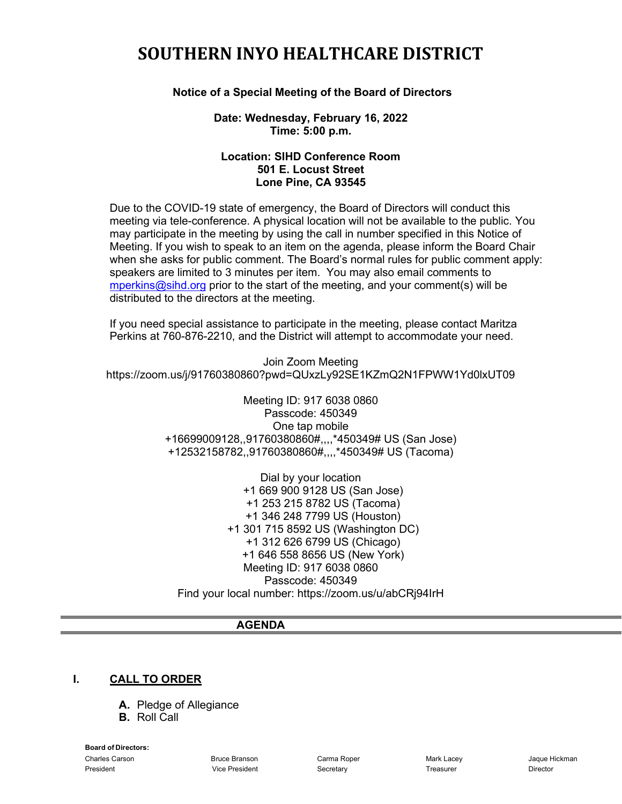# **SOUTHERN INYO HEALTHCARE DISTRICT**

#### **Notice of a Special Meeting of the Board of Directors**

#### **Date: Wednesday, February 16, 2022 Time: 5:00 p.m.**

#### **Location: SIHD Conference Room 501 E. Locust Street Lone Pine, CA 93545**

Due to the COVID-19 state of emergency, the Board of Directors will conduct this meeting via tele-conference. A physical location will not be available to the public. You may participate in the meeting by using the call in number specified in this Notice of Meeting. If you wish to speak to an item on the agenda, please inform the Board Chair when she asks for public comment. The Board's normal rules for public comment apply: speakers are limited to 3 minutes per item. You may also email comments to [mperkins@sihd.org](mailto:mperkins@sihd.org) prior to the start of the meeting, and your comment(s) will be distributed to the directors at the meeting.

If you need special assistance to participate in the meeting, please contact Maritza Perkins at 760-876-2210, and the District will attempt to accommodate your need.

Join Zoom Meeting https://zoom.us/j/91760380860?pwd=QUxzLy92SE1KZmQ2N1FPWW1Yd0lxUT09

> Meeting ID: 917 6038 0860 Passcode: 450349 One tap mobile +16699009128,,91760380860#,,,,\*450349# US (San Jose) +12532158782,,91760380860#,,,,\*450349# US (Tacoma)

Dial by your location +1 669 900 9128 US (San Jose) +1 253 215 8782 US (Tacoma) +1 346 248 7799 US (Houston) +1 301 715 8592 US (Washington DC) +1 312 626 6799 US (Chicago) +1 646 558 8656 US (New York) Meeting ID: 917 6038 0860 Passcode: 450349 Find your local number: https://zoom.us/u/abCRj94IrH

#### **AGENDA**

#### **I. CALL TO ORDER**

- **A.** Pledge of Allegiance
- **B.** Roll Call

**Board of Directors:**

Charles Carson Bruce Branson Carma Roper Mark Lacey Jaque Hickman President Vice President Secretary Treasurer Director